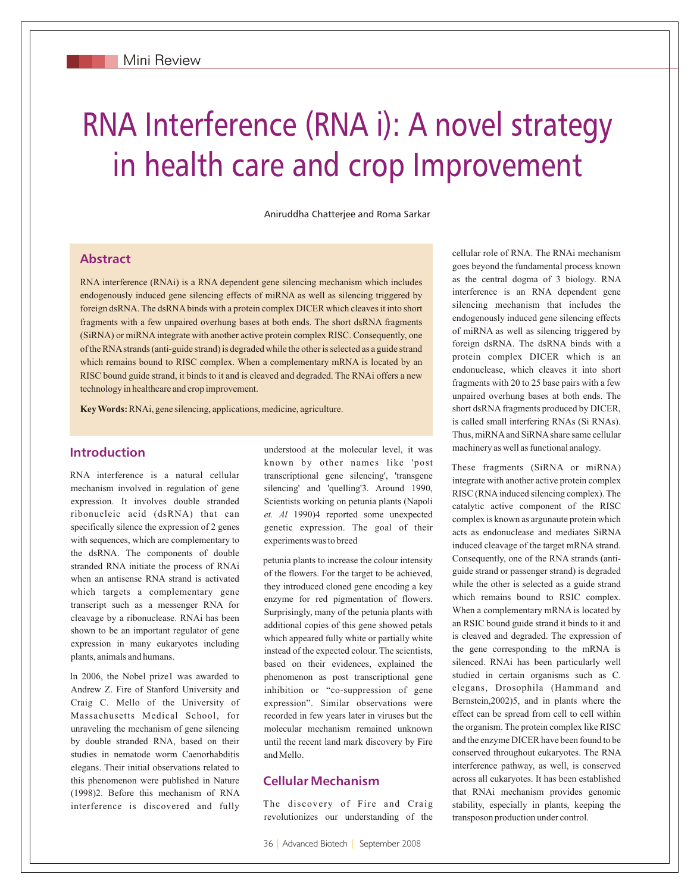# RNA Interference (RNA i): A novel strategy in health care and crop Improvement

Aniruddha Chatterjee and Roma Sarkar

## **Abstract**

RNA interference (RNAi) is a RNA dependent gene silencing mechanism which includes endogenously induced gene silencing effects of miRNA as well as silencing triggered by foreign dsRNA. The dsRNA binds with a protein complex DICER which cleaves it into short fragments with a few unpaired overhung bases at both ends. The short dsRNA fragments (SiRNA) or miRNA integrate with another active protein complex RISC. Consequently, one of the RNA strands (anti-guide strand) is degraded while the other is selected as a guide strand which remains bound to RISC complex. When a complementary mRNA is located by an RISC bound guide strand, it binds to it and is cleaved and degraded. The RNAi offers a new technology in healthcare and crop improvement.

**Key Words:** RNAi, gene silencing, applications, medicine, agriculture.

## **Introduction**

RNA interference is a natural cellular mechanism involved in regulation of gene expression. It involves double stranded ribonucleic acid (dsRNA) that can specifically silence the expression of 2 genes with sequences, which are complementary to the dsRNA. The components of double stranded RNA initiate the process of RNAi when an antisense RNA strand is activated which targets a complementary gene transcript such as a messenger RNA for cleavage by a ribonuclease. RNAi has been shown to be an important regulator of gene expression in many eukaryotes including plants, animals and humans.

In 2006, the Nobel prize1 was awarded to Andrew Z. Fire of Stanford University and Craig C. Mello of the University of Massachusetts Medical School, for unraveling the mechanism of gene silencing by double stranded RNA, based on their studies in nematode worm Caenorhabditis elegans. Their initial observations related to this phenomenon were published in Nature (1998)2. Before this mechanism of RNA interference is discovered and fully understood at the molecular level, it was known by other names like 'post transcriptional gene silencing', 'transgene silencing' and 'quelling'3. Around 1990, Scientists working on petunia plants (Napoli *et. Al* 1990)4 reported some unexpected genetic expression. The goal of their experiments was to breed

petunia plants to increase the colour intensity of the flowers. For the target to be achieved, they introduced cloned gene encoding a key enzyme for red pigmentation of flowers. Surprisingly, many of the petunia plants with additional copies of this gene showed petals which appeared fully white or partially white instead of the expected colour. The scientists, based on their evidences, explained the phenomenon as post transcriptional gene inhibition or "co-suppression of gene expression". Similar observations were recorded in few years later in viruses but the molecular mechanism remained unknown until the recent land mark discovery by Fire and Mello.

# **Cellular Mechanism**

The discovery of Fire and Craig revolutionizes our understanding of the cellular role of RNA. The RNAi mechanism goes beyond the fundamental process known as the central dogma of 3 biology. RNA interference is an RNA dependent gene silencing mechanism that includes the endogenously induced gene silencing effects of miRNA as well as silencing triggered by foreign dsRNA. The dsRNA binds with a protein complex DICER which is an endonuclease, which cleaves it into short fragments with 20 to 25 base pairs with a few unpaired overhung bases at both ends. The short dsRNA fragments produced by DICER, is called small interfering RNAs (Si RNAs). Thus, miRNA and SiRNA share same cellular machinery as well as functional analogy.

These fragments (SiRNA or miRNA) integrate with another active protein complex RISC (RNA induced silencing complex). The catalytic active component of the RISC complex is known as argunaute protein which acts as endonuclease and mediates SiRNA induced cleavage of the target mRNA strand. Consequently, one of the RNA strands (antiguide strand or passenger strand) is degraded while the other is selected as a guide strand which remains bound to RSIC complex. When a complementary mRNA is located by an RSIC bound guide strand it binds to it and is cleaved and degraded. The expression of the gene corresponding to the mRNA is silenced. RNAi has been particularly well studied in certain organisms such as C. elegans, Drosophila (Hammand and Bernstein,2002)5, and in plants where the effect can be spread from cell to cell within the organism. The protein complex like RISC and the enzyme DICER have been found to be conserved throughout eukaryotes. The RNA interference pathway, as well, is conserved across all eukaryotes. It has been established that RNAi mechanism provides genomic stability, especially in plants, keeping the transposon production under control.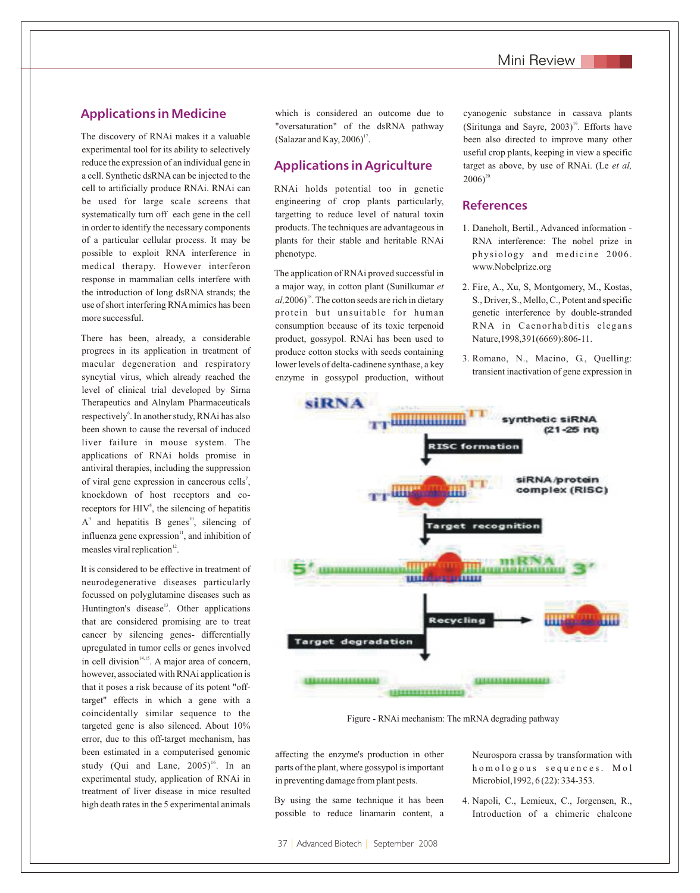### **Applications in Medicine**

The discovery of RNAi makes it a valuable experimental tool for its ability to selectively reduce the expression of an individual gene in a cell. Synthetic dsRNA can be injected to the cell to artificially produce RNAi. RNAi can be used for large scale screens that systematically turn off each gene in the cell in order to identify the necessary components of a particular cellular process. It may be possible to exploit RNA interference in medical therapy. However interferon response in mammalian cells interfere with the introduction of long dsRNA strands; the use of short interfering RNA mimics has been more successful.

There has been, already, a considerable progrees in its application in treatment of macular degeneration and respiratory syncytial virus, which already reached the level of clinical trial developed by Sirna Therapeutics and Alnylam Pharmaceuticals respectively<sup>6</sup>. In another study, RNAi has also been shown to cause the reversal of induced liver failure in mouse system. The applications of RNAi holds promise in antiviral therapies, including the suppression of viral gene expression in cancerous cells<sup>7</sup>, knockdown of host receptors and coreceptors for  $HIV<sup>8</sup>$ , the silencing of hepatitis  $A^9$  and hepatitis B genes<sup>10</sup>, silencing of influenza gene expression $\mathbf{u}$ , and inhibition of measles viral replication $12$ .

It is considered to be effective in treatment of neurodegenerative diseases particularly focussed on polyglutamine diseases such as Huntington's disease<sup>13</sup>. Other applications that are considered promising are to treat cancer by silencing genes- differentially upregulated in tumor cells or genes involved in cell division $14,15}$ . A major area of concern, however, associated with RNAi application is that it poses a risk because of its potent "offtarget" effects in which a gene with a coincidentally similar sequence to the targeted gene is also silenced. About 10% error, due to this off-target mechanism, has been estimated in a computerised genomic study (Qui and Lane,  $2005$ <sup>16</sup>. In an experimental study, application of RNAi in treatment of liver disease in mice resulted high death rates in the 5 experimental animals

which is considered an outcome due to "oversaturation" of the dsRNA pathway (Salazar and Kay,  $2006$ )<sup>17</sup>.

#### **Applications in Agriculture**

RNAi holds potential too in genetic engineering of crop plants particularly, targetting to reduce level of natural toxin products. The techniques are advantageous in plants for their stable and heritable RNAi phenotype.

The application of RNAi proved successful in a major way, in cotton plant (Sunilkumar *et*   $a<sup>1</sup>,2006$ <sup>18</sup>. The cotton seeds are rich in dietary protein but unsuitable for human consumption because of its toxic terpenoid product, gossypol. RNAi has been used to produce cotton stocks with seeds containing lower levels of delta-cadinene synthase, a key enzyme in gossypol production, without cyanogenic substance in cassava plants (Siritunga and Sayre,  $2003$ )<sup>19</sup>. Efforts have been also directed to improve many other useful crop plants, keeping in view a specific target as above, by use of RNAi. (Le *et al,*  $2006$ <sup>20</sup>

## **References**

- 1. Daneholt, Bertil., Advanced information RNA interference: The nobel prize in physiology and medicine 2006. www.Nobelprize.org
- 2. Fire, A., Xu, S, Montgomery, M., Kostas, S., Driver, S., Mello, C., Potent and specific genetic interference by double-stranded RNA in Caenorhabditis elegans Nature,1998,391(6669):806-11.
- 3. Romano, N., Macino, G., Quelling: transient inactivation of gene expression in



Figure - RNAi mechanism: The mRNA degrading pathway

affecting the enzyme's production in other parts of the plant, where gossypol is important in preventing damage from plant pests.

By using the same technique it has been possible to reduce linamarin content, a Neurospora crassa by transformation with homologous sequences. Mol Microbiol,1992, 6 (22): 334-353.

4. Napoli, C., Lemieux, C., Jorgensen, R., Introduction of a chimeric chalcone